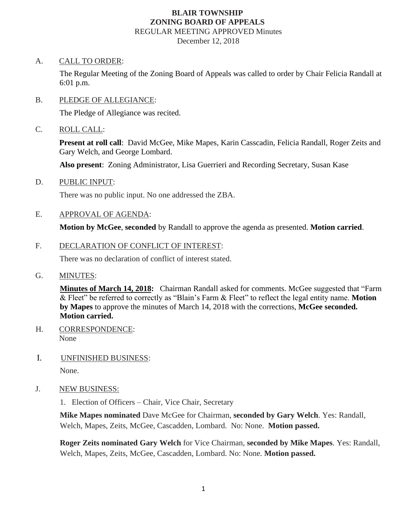## **BLAIR TOWNSHIP ZONING BOARD OF APPEALS** REGULAR MEETING APPROVED Minutes

December 12, 2018

#### A. CALL TO ORDER:

The Regular Meeting of the Zoning Board of Appeals was called to order by Chair Felicia Randall at 6:01 p.m.

### B. PLEDGE OF ALLEGIANCE:

The Pledge of Allegiance was recited.

### C. ROLL CALL:

**Present at roll call**: David McGee, Mike Mapes, Karin Casscadin, Felicia Randall, Roger Zeits and Gary Welch, and George Lombard.

**Also present**: Zoning Administrator, Lisa Guerrieri and Recording Secretary, Susan Kase

D. PUBLIC INPUT:

There was no public input. No one addressed the ZBA.

E. APPROVAL OF AGENDA:

**Motion by McGee**, **seconded** by Randall to approve the agenda as presented. **Motion carried**.

F. DECLARATION OF CONFLICT OF INTEREST:

There was no declaration of conflict of interest stated.

G. MINUTES:

**Minutes of March 14, 2018:** Chairman Randall asked for comments. McGee suggested that "Farm & Fleet" be referred to correctly as "Blain's Farm & Fleet" to reflect the legal entity name. **Motion by Mapes** to approve the minutes of March 14, 2018 with the corrections, **McGee seconded. Motion carried.**

- H. CORRESPONDENCE: None
- I. UNFINISHED BUSINESS:

None.

J. NEW BUSINESS:

1. Election of Officers – Chair, Vice Chair, Secretary

**Mike Mapes nominated** Dave McGee for Chairman, **seconded by Gary Welch**. Yes: Randall, Welch, Mapes, Zeits, McGee, Cascadden, Lombard. No: None. **Motion passed.**

**Roger Zeits nominated Gary Welch** for Vice Chairman, **seconded by Mike Mapes**. Yes: Randall, Welch, Mapes, Zeits, McGee, Cascadden, Lombard. No: None. **Motion passed.**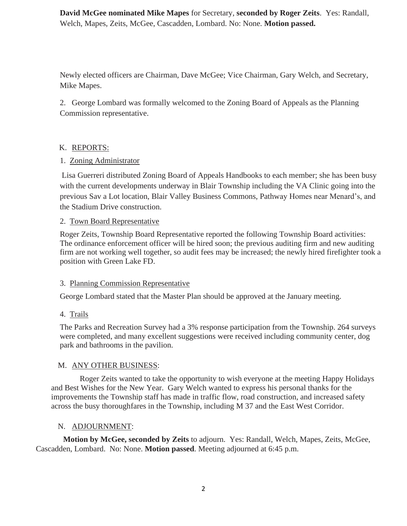**David McGee nominated Mike Mapes** for Secretary, **seconded by Roger Zeits**. Yes: Randall, Welch, Mapes, Zeits, McGee, Cascadden, Lombard. No: None. **Motion passed.**

Newly elected officers are Chairman, Dave McGee; Vice Chairman, Gary Welch, and Secretary, Mike Mapes.

2. George Lombard was formally welcomed to the Zoning Board of Appeals as the Planning Commission representative.

# K. REPORTS:

# 1. Zoning Administrator

Lisa Guerreri distributed Zoning Board of Appeals Handbooks to each member; she has been busy with the current developments underway in Blair Township including the VA Clinic going into the previous Sav a Lot location, Blair Valley Business Commons, Pathway Homes near Menard's, and the Stadium Drive construction.

## 2. Town Board Representative

Roger Zeits, Township Board Representative reported the following Township Board activities: The ordinance enforcement officer will be hired soon; the previous auditing firm and new auditing firm are not working well together, so audit fees may be increased; the newly hired firefighter took a position with Green Lake FD.

## 3. Planning Commission Representative

George Lombard stated that the Master Plan should be approved at the January meeting.

# 4. Trails

The Parks and Recreation Survey had a 3% response participation from the Township. 264 surveys were completed, and many excellent suggestions were received including community center, dog park and bathrooms in the pavilion.

# M. ANY OTHER BUSINESS:

 Roger Zeits wanted to take the opportunity to wish everyone at the meeting Happy Holidays and Best Wishes for the New Year. Gary Welch wanted to express his personal thanks for the improvements the Township staff has made in traffic flow, road construction, and increased safety across the busy thoroughfares in the Township, including M 37 and the East West Corridor.

## N. ADJOURNMENT:

 **Motion by McGee, seconded by Zeits** to adjourn. Yes: Randall, Welch, Mapes, Zeits, McGee, Cascadden, Lombard. No: None. **Motion passed**. Meeting adjourned at 6:45 p.m.